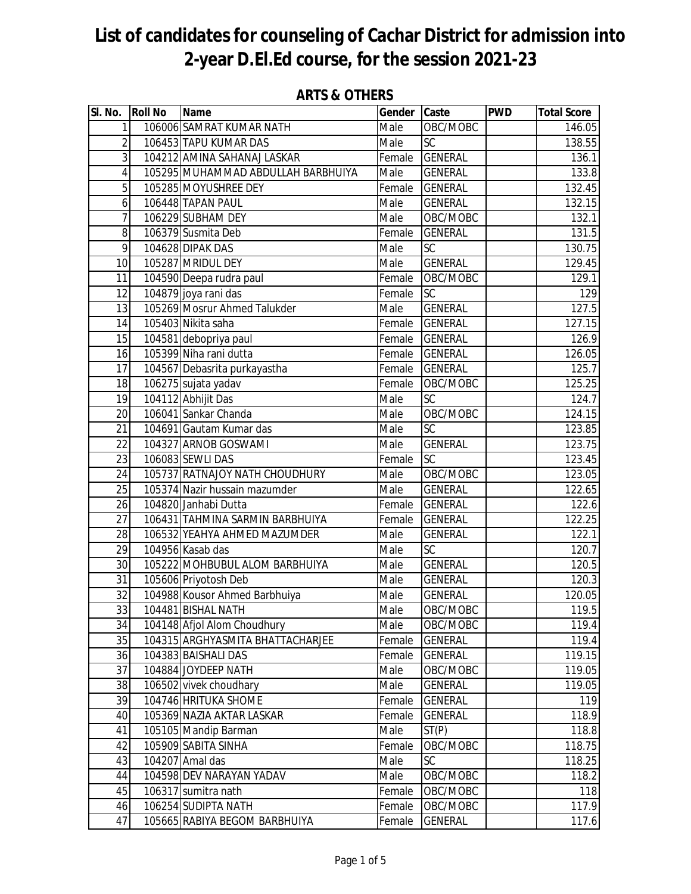| SI. No.         | <b>Roll No</b> | <b>Name</b>                                | Gender       | <b>Caste</b>               | <b>PWD</b> | <b>Total Score</b> |
|-----------------|----------------|--------------------------------------------|--------------|----------------------------|------------|--------------------|
| 1               |                | 106006 SAMRAT KUMAR NATH                   | Male         | OBC/MOBC                   |            | 146.05             |
| $\overline{2}$  |                | 106453 TAPU KUMAR DAS                      | Male         | <b>SC</b>                  |            | 138.55             |
| 3               |                | 104212 AMINA SAHANAJ LASKAR                | Female       | <b>GENERAL</b>             |            | 136.1              |
| 4               |                | 105295 MUHAMMAD ABDULLAH BARBHUIYA         | Male         | <b>GENERAL</b>             |            | 133.8              |
| 5               |                | 105285 MOYUSHREE DEY                       | Female       | <b>GENERAL</b>             |            | 132.45             |
| 6               |                | 106448 TAPAN PAUL                          | Male         | <b>GENERAL</b>             |            | 132.15             |
| 7               |                | 106229 SUBHAM DEY                          | Male         | OBC/MOBC                   |            | 132.1              |
| 8               |                | 106379 Susmita Deb                         | Female       | <b>GENERAL</b>             |            | 131.5              |
| 9               |                | 104628 DIPAK DAS                           | Male         | SC                         |            | 130.75             |
| 10              |                | 105287 MRIDUL DEY                          | Male         | <b>GENERAL</b>             |            | 129.45             |
| 11              |                | 104590 Deepa rudra paul                    | Female       | OBC/MOBC                   |            | 129.1              |
| 12              |                | 104879 joya rani das                       | Female       | <b>SC</b>                  |            | 129                |
| 13              |                | 105269 Mosrur Ahmed Talukder               | Male         | <b>GENERAL</b>             |            | 127.5              |
| 14              |                | 105403 Nikita saha                         | Female       | <b>GENERAL</b>             |            | 127.15             |
| 15              |                | 104581 debopriya paul                      | Female       | <b>GENERAL</b>             |            | 126.9              |
| 16              |                | 105399 Niha rani dutta                     | Female       | <b>GENERAL</b>             |            | 126.05             |
| 17              |                | 104567 Debasrita purkayastha               | Female       | <b>GENERAL</b>             |            | 125.7              |
| 18              |                | 106275 sujata yadav                        | Female       | OBC/MOBC                   |            | 125.25             |
| $\overline{19}$ |                | 104112 Abhijit Das                         | Male         | SC                         |            | 124.7              |
| 20              |                | 106041 Sankar Chanda                       | Male         | OBC/MOBC                   |            | 124.15             |
| 21              |                | 104691 Gautam Kumar das                    | Male         | $\overline{SC}$            |            | 123.85             |
| 22              |                | 104327 ARNOB GOSWAMI                       | Male         | <b>GENERAL</b>             |            | 123.75             |
| 23              |                | 106083 SEWLI DAS                           | Female       | <b>SC</b>                  |            | 123.45             |
| 24              |                | 105737 RATNAJOY NATH CHOUDHURY             | Male         | OBC/MOBC                   |            | 123.05             |
| 25              |                | 105374 Nazir hussain mazumder              | Male         | <b>GENERAL</b>             |            | 122.65             |
| 26              |                | 104820 Janhabi Dutta                       | Female       | <b>GENERAL</b>             |            | 122.6              |
| 27              |                | 106431 TAHMINA SARMIN BARBHUIYA            | Female       | <b>GENERAL</b>             |            | 122.25             |
| 28              |                | 106532 YEAHYA AHMED MAZUMDER               | Male         | <b>GENERAL</b>             |            | 122.1              |
| 29              |                | 104956 Kasab das                           | Male         | SC                         |            | 120.7              |
| 30              |                | 105222 MOHBUBUL ALOM BARBHUIYA             | Male         | <b>GENERAL</b>             |            | 120.5              |
| 31              |                | 105606 Priyotosh Deb                       | Male         | <b>GENERAL</b>             |            | 120.3              |
| $\overline{32}$ |                | 104988 Kousor Ahmed Barbhuiya              | Male         | <b>GENERAL</b>             |            | 120.05             |
| 33              |                | 104481 BISHAL NATH                         | Male         | OBC/MOBC                   |            | 119.5              |
| 34              |                | 104148 Afjol Alom Choudhury                | Male         | OBC/MOBC                   |            | 119.4              |
| 35              |                | 104315 ARGHYASMITA BHATTACHARJEE           | Female       | <b>GENERAL</b>             |            | 119.4              |
| 36<br>37        |                | 104383 BAISHALI DAS<br>104884 JOYDEEP NATH | Female       | <b>GENERAL</b>             |            | 119.15             |
|                 |                | 106502 vivek choudhary                     | Male<br>Male | OBC/MOBC<br><b>GENERAL</b> |            | 119.05             |
| 38              |                | 104746 HRITUKA SHOME                       | Female       | <b>GENERAL</b>             |            | 119.05<br>119      |
| 39<br>40        |                | 105369 NAZIA AKTAR LASKAR                  | Female       | <b>GENERAL</b>             |            |                    |
| 41              |                | 105105 Mandip Barman                       | Male         | ST(P)                      |            | 118.9<br>118.8     |
| 42              |                | 105909 SABITA SINHA                        | Female       | OBC/MOBC                   |            | 118.75             |
| 43              |                | 104207 Amal das                            | Male         | <b>SC</b>                  |            | 118.25             |
| 44              |                | 104598 DEV NARAYAN YADAV                   | Male         | OBC/MOBC                   |            | 118.2              |
| 45              |                | 106317 sumitra nath                        | Female       | OBC/MOBC                   |            | 118                |
| 46              |                | 106254 SUDIPTA NATH                        | Female       | OBC/MOBC                   |            | 117.9              |
| 47              |                | 105665 RABIYA BEGOM BARBHUIYA              | Female       | <b>GENERAL</b>             |            | 117.6              |

#### **ARTS & OTHERS**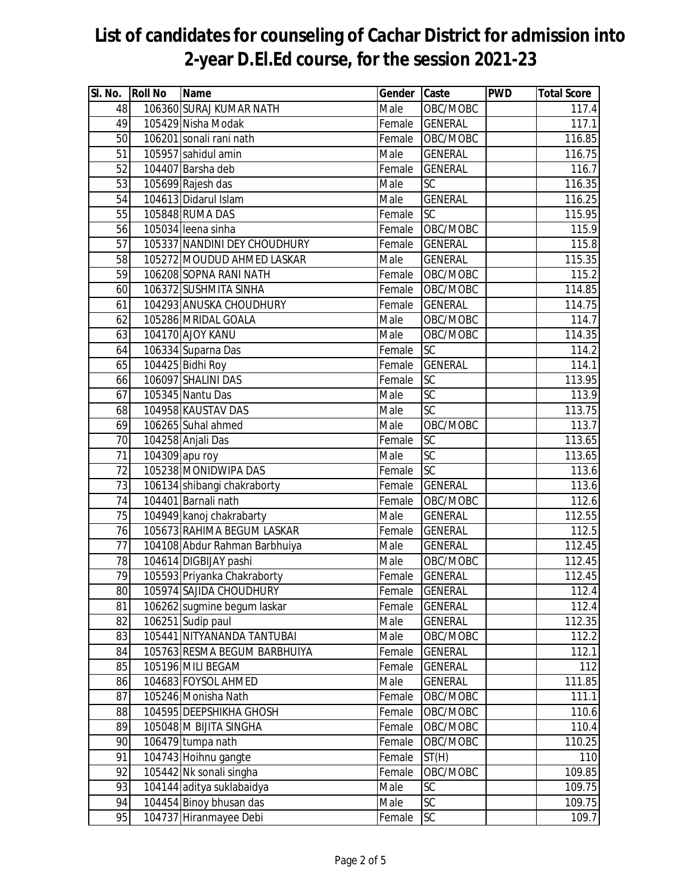| SI. No. | <b>Roll No</b> | <b>Name</b>                   | Gender | Caste           | <b>PWD</b> | <b>Total Score</b> |
|---------|----------------|-------------------------------|--------|-----------------|------------|--------------------|
| 48      |                | 106360 SURAJ KUMAR NATH       | Male   | OBC/MOBC        |            | 117.4              |
| 49      |                | 105429 Nisha Modak            | Female | <b>GENERAL</b>  |            | 117.1              |
| 50      |                | 106201 sonali rani nath       | Female | OBC/MOBC        |            | 116.85             |
| 51      |                | 105957 sahidul amin           | Male   | <b>GENERAL</b>  |            | 116.75             |
| 52      |                | 104407 Barsha deb             | Female | <b>GENERAL</b>  |            | 116.7              |
| 53      |                | 105699 Rajesh das             | Male   | SC              |            | 116.35             |
| 54      |                | 104613 Didarul Islam          | Male   | <b>GENERAL</b>  |            | 116.25             |
| 55      |                | 105848 RUMA DAS               | Female | SC              |            | 115.95             |
| 56      |                | 105034 leena sinha            | Female | OBC/MOBC        |            | 115.9              |
| 57      |                | 105337 NANDINI DEY CHOUDHURY  | Female | <b>GENERAL</b>  |            | 115.8              |
| 58      |                | 105272 MOUDUD AHMED LASKAR    | Male   | <b>GENERAL</b>  |            | 115.35             |
| 59      |                | 106208 SOPNA RANI NATH        | Female | OBC/MOBC        |            | 115.2              |
| 60      |                | 106372 SUSHMITA SINHA         | Female | OBC/MOBC        |            | 114.85             |
| 61      |                | 104293 ANUSKA CHOUDHURY       | Female | <b>GENERAL</b>  |            | 114.75             |
| 62      |                | 105286 MRIDAL GOALA           | Male   | OBC/MOBC        |            | 114.7              |
| 63      |                | 104170 AJOY KANU              | Male   | OBC/MOBC        |            | 114.35             |
| 64      |                | 106334 Suparna Das            | Female | SC              |            | 114.2              |
| 65      |                | 104425 Bidhi Roy              | Female | <b>GENERAL</b>  |            | 114.1              |
| 66      |                | 106097 SHALINI DAS            | Female | SC              |            | 113.95             |
| 67      |                | 105345 Nantu Das              | Male   | SC              |            | 113.9              |
| 68      |                | 104958 KAUSTAV DAS            | Male   | $\overline{SC}$ |            | 113.75             |
| 69      |                | 106265 Suhal ahmed            | Male   | OBC/MOBC        |            | 113.7              |
| 70      |                | 104258 Anjali Das             | Female | $\overline{SC}$ |            | 113.65             |
| 71      |                | 104309 apu roy                | Male   | $\overline{SC}$ |            | 113.65             |
| 72      |                | 105238 MONIDWIPA DAS          | Female | SC              |            | 113.6              |
| 73      |                | 106134 shibangi chakraborty   | Female | <b>GENERAL</b>  |            | 113.6              |
| 74      |                | 104401 Barnali nath           | Female | OBC/MOBC        |            | 112.6              |
| 75      |                | 104949 kanoj chakrabarty      | Male   | <b>GENERAL</b>  |            | 112.55             |
| 76      |                | 105673 RAHIMA BEGUM LASKAR    | Female | <b>GENERAL</b>  |            | 112.5              |
| 77      |                | 104108 Abdur Rahman Barbhuiya | Male   | <b>GENERAL</b>  |            | 112.45             |
| 78      |                | 104614 DIGBIJAY pashi         | Male   | OBC/MOBC        |            | 112.45             |
| 79      |                | 105593 Priyanka Chakraborty   | Female | <b>GENERAL</b>  |            | 112.45             |
| 80      |                | 105974 SAJIDA CHOUDHURY       |        | Female GENERAL  |            | 112.4              |
| 81      |                | 106262 sugmine begum laskar   | Female | <b>GENERAL</b>  |            | 112.4              |
| 82      |                | 106251 Sudip paul             | Male   | <b>GENERAL</b>  |            | 112.35             |
| 83      |                | 105441 NITYANANDA TANTUBAI    | Male   | OBC/MOBC        |            | 112.2              |
| 84      |                | 105763 RESMA BEGUM BARBHUIYA  | Female | <b>GENERAL</b>  |            | 112.1              |
| 85      |                | 105196 MILI BEGAM             | Female | <b>GENERAL</b>  |            | 112                |
| 86      |                | 104683 FOYSOL AHMED           | Male   | <b>GENERAL</b>  |            | 111.85             |
| 87      |                | 105246 Monisha Nath           | Female | OBC/MOBC        |            | 111.1              |
| 88      |                | 104595 DEEPSHIKHA GHOSH       | Female | OBC/MOBC        |            | 110.6              |
| 89      |                | 105048 M BIJITA SINGHA        | Female | OBC/MOBC        |            | 110.4              |
| 90      |                | 106479 tumpa nath             | Female | OBC/MOBC        |            | 110.25             |
| 91      |                | 104743 Hoihnu gangte          | Female | ST(H)           |            | 110                |
| 92      |                | 105442 Nk sonali singha       | Female | OBC/MOBC        |            | 109.85             |
| 93      |                | 104144 aditya suklabaidya     | Male   | SC              |            | 109.75             |
| 94      |                | 104454 Binoy bhusan das       | Male   | SC              |            | 109.75             |
| 95      |                | 104737 Hiranmayee Debi        | Female | SC              |            | 109.7              |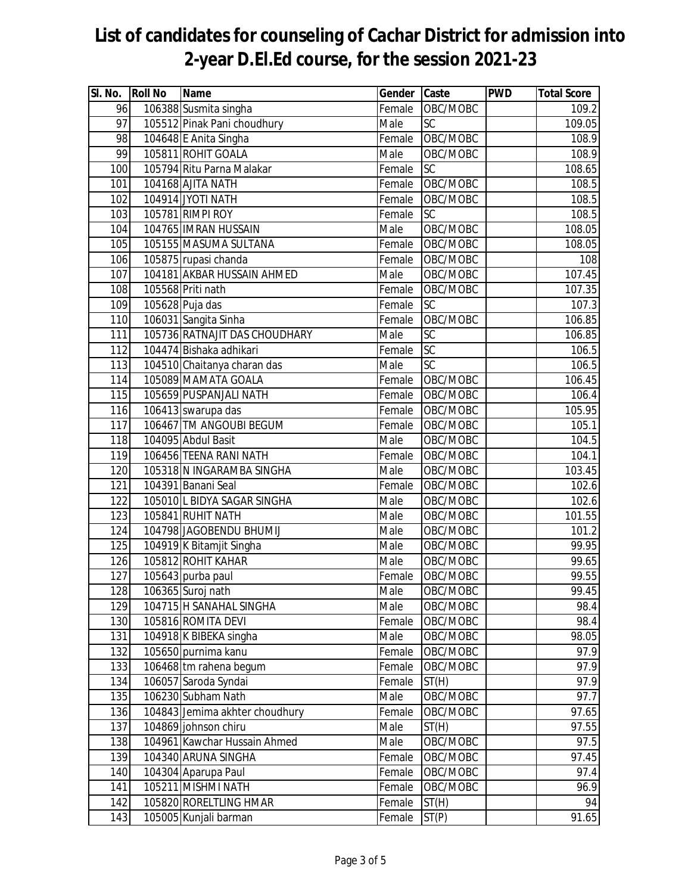| SI. No. | <b>Roll No</b> | <b>Name</b>                    | Gender | Caste           | <b>PWD</b> | <b>Total Score</b> |
|---------|----------------|--------------------------------|--------|-----------------|------------|--------------------|
| 96      |                | 106388 Susmita singha          | Female | OBC/MOBC        |            | $\overline{109.2}$ |
| 97      |                | 105512 Pinak Pani choudhury    | Male   | $\overline{SC}$ |            | 109.05             |
| 98      |                | 104648 E Anita Singha          | Female | OBC/MOBC        |            | 108.9              |
| 99      |                | 105811 ROHIT GOALA             | Male   | OBC/MOBC        |            | 108.9              |
| 100     |                | 105794 Ritu Parna Malakar      | Female | SC              |            | 108.65             |
| 101     |                | 104168 AJITA NATH              | Female | OBC/MOBC        |            | 108.5              |
| 102     |                | 104914 JYOTI NATH              | Female | OBC/MOBC        |            | 108.5              |
| 103     |                | 105781 RIMPI ROY               | Female | SC              |            | 108.5              |
| 104     |                | 104765 IMRAN HUSSAIN           | Male   | OBC/MOBC        |            | 108.05             |
| 105     |                | 105155 MASUMA SULTANA          | Female | OBC/MOBC        |            | 108.05             |
| 106     |                | 105875 rupasi chanda           | Female | OBC/MOBC        |            | 108                |
| 107     |                | 104181 AKBAR HUSSAIN AHMED     | Male   | OBC/MOBC        |            | 107.45             |
| 108     |                | 105568 Priti nath              | Female | OBC/MOBC        |            | 107.35             |
| 109     |                | 105628 Puja das                | Female | SC              |            | 107.3              |
| 110     |                | 106031 Sangita Sinha           | Female | OBC/MOBC        |            | 106.85             |
| 111     |                | 105736 RATNAJIT DAS CHOUDHARY  | Male   | $\overline{SC}$ |            | 106.85             |
| 112     |                | 104474 Bishaka adhikari        | Female | $\overline{SC}$ |            | 106.5              |
| 113     |                | 104510 Chaitanya charan das    | Male   | $\overline{SC}$ |            | 106.5              |
| 114     |                | 105089 MAMATA GOALA            | Female | OBC/MOBC        |            | 106.45             |
| 115     |                | 105659 PUSPANJALI NATH         | Female | OBC/MOBC        |            | 106.4              |
| 116     |                | 106413 swarupa das             | Female | OBC/MOBC        |            | 105.95             |
| 117     |                | 106467 TM ANGOUBI BEGUM        | Female | OBC/MOBC        |            | 105.1              |
| 118     |                | 104095 Abdul Basit             | Male   | OBC/MOBC        |            | 104.5              |
| 119     |                | 106456 TEENA RANI NATH         | Female | OBC/MOBC        |            | 104.1              |
| 120     |                | 105318 N INGARAMBA SINGHA      | Male   | OBC/MOBC        |            | 103.45             |
| 121     |                | 104391 Banani Seal             | Female | OBC/MOBC        |            | 102.6              |
| 122     |                | 105010 L BIDYA SAGAR SINGHA    | Male   | OBC/MOBC        |            | 102.6              |
| 123     |                | 105841 RUHIT NATH              | Male   | OBC/MOBC        |            | 101.55             |
| 124     |                | 104798 JAGOBENDU BHUMIJ        | Male   | OBC/MOBC        |            | 101.2              |
| 125     |                | 104919 K Bitamjit Singha       | Male   | OBC/MOBC        |            | 99.95              |
| 126     |                | 105812 ROHIT KAHAR             | Male   | OBC/MOBC        |            | $\overline{99.65}$ |
| 127     |                | 105643 purba paul              | Female | OBC/MOBC        |            | 99.55              |
| 128     |                | 106365 Suroj nath              | Male   | OBC/MOBC        |            | 99.45              |
| 129     |                | 104715 H SANAHAL SINGHA        | Male   | OBC/MOBC        |            | 98.4               |
| 130     |                | 105816 ROMITA DEVI             | Female | OBC/MOBC        |            | 98.4               |
| 131     |                | 104918 K BIBEKA singha         | Male   | OBC/MOBC        |            | 98.05              |
| 132     |                | 105650 purnima kanu            | Female | OBC/MOBC        |            | 97.9               |
| 133     |                | 106468 tm rahena begum         | Female | OBC/MOBC        |            | 97.9               |
| 134     |                | 106057 Saroda Syndai           | Female | ST(H)           |            | 97.9               |
| 135     |                | 106230 Subham Nath             | Male   | OBC/MOBC        |            | 97.7               |
| 136     |                | 104843 Jemima akhter choudhury | Female | OBC/MOBC        |            | 97.65              |
| 137     |                | 104869 johnson chiru           | Male   | ST(H)           |            | 97.55              |
| 138     |                | 104961 Kawchar Hussain Ahmed   | Male   | OBC/MOBC        |            | 97.5               |
| 139     |                | 104340 ARUNA SINGHA            | Female | OBC/MOBC        |            | 97.45              |
| 140     |                | 104304 Aparupa Paul            | Female | OBC/MOBC        |            | 97.4               |
| 141     |                | 105211 MISHMI NATH             | Female | OBC/MOBC        |            | 96.9               |
| 142     |                | 105820 RORELTLING HMAR         | Female | ST(H)           |            | 94                 |
| 143     |                | 105005 Kunjali barman          | Female | ST(P)           |            | 91.65              |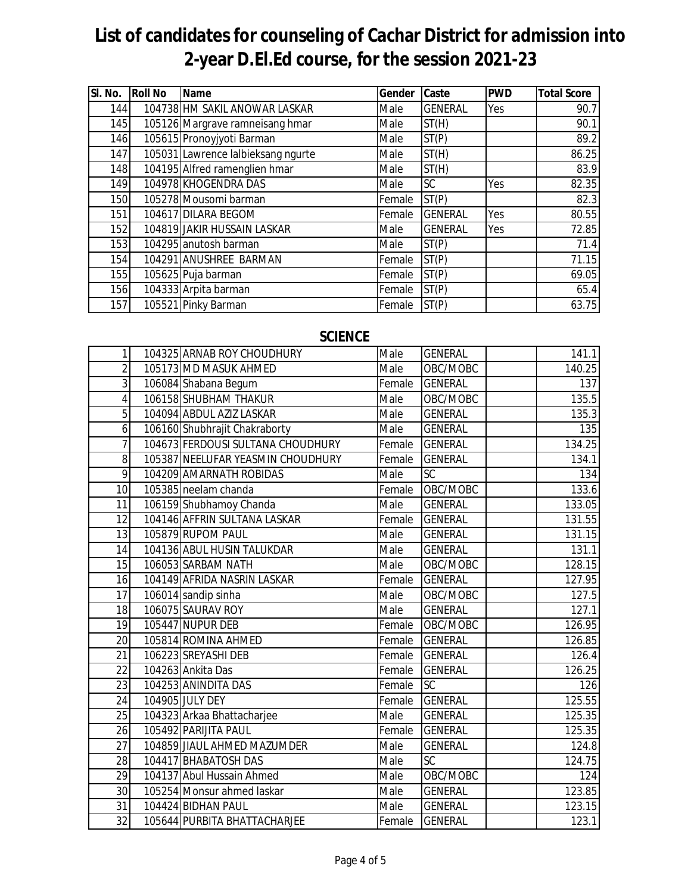| SI. No. | <b>Roll No</b> | <b>Name</b>                        | Gender | Caste          | <b>PWD</b> | <b>Total Score</b> |
|---------|----------------|------------------------------------|--------|----------------|------------|--------------------|
| 144     |                | 104738 HM SAKIL ANOWAR LASKAR      | Male   | <b>GENERAL</b> | Yes        | 90.7               |
| 145     |                | 105126 Margrave ramneisang hmar    | Male   | ST(H)          |            | 90.1               |
| 146     |                | 105615 Pronoyjyoti Barman          | Male   | ST(P)          |            | 89.2               |
| 147     |                | 105031 Lawrence lalbieksang ngurte | Male   | ST(H)          |            | 86.25              |
| 148     |                | 104195 Alfred ramenglien hmar      | Male   | ST(H)          |            | 83.9               |
| 149     |                | 104978 KHOGENDRA DAS               | Male   | <b>SC</b>      | Yes        | 82.35              |
| 150     |                | 105278 Mousomi barman              | Female | ST(P)          |            | 82.3               |
| 151     |                | 104617 DILARA BEGOM                | Female | <b>GENERAL</b> | Yes        | 80.55              |
| 152     |                | 104819 JAKIR HUSSAIN LASKAR        | Male   | <b>GENERAL</b> | Yes        | 72.85              |
| 153     |                | 104295 anutosh barman              | Male   | ST(P)          |            | 71.4               |
| 154     |                | 104291 ANUSHREE BARMAN             | Female | ST(P)          |            | 71.15              |
| 155     |                | 105625 Puja barman                 | Female | ST(P)          |            | 69.05              |
| 156     |                | 104333 Arpita barman               | Female | ST(P)          |            | 65.4               |
| 157     |                | 105521 Pinky Barman                | Female | ST(P)          |            | 63.75              |

#### **SCIENCE**

| 1               | 104325 ARNAB ROY CHOUDHURY        | Male   | <b>GENERAL</b>  | 141.1  |
|-----------------|-----------------------------------|--------|-----------------|--------|
| $\overline{2}$  | 105173 MD MASUK AHMED             | Male   | OBC/MOBC        | 140.25 |
| 3               | 106084 Shabana Begum              | Female | <b>GENERAL</b>  | 137    |
| $\overline{4}$  | 106158 SHUBHAM THAKUR             | Male   | OBC/MOBC        | 135.5  |
| 5               | 104094 ABDUL AZIZ LASKAR          | Male   | <b>GENERAL</b>  | 135.3  |
| 6               | 106160 Shubhrajit Chakraborty     | Male   | <b>GENERAL</b>  | 135    |
| $\overline{7}$  | 104673 FERDOUSI SULTANA CHOUDHURY | Female | <b>GENERAL</b>  | 134.25 |
| 8               | 105387 NEELUFAR YEASMIN CHOUDHURY | Female | <b>GENERAL</b>  | 134.1  |
| $\overline{9}$  | 104209 AMARNATH ROBIDAS           | Male   | $\overline{SC}$ | 134    |
| 10              | 105385 neelam chanda              | Female | OBC/MOBC        | 133.6  |
| 11              | 106159 Shubhamoy Chanda           | Male   | <b>GENERAL</b>  | 133.05 |
| 12              | 104146 AFFRIN SULTANA LASKAR      | Female | <b>GENERAL</b>  | 131.55 |
| 13              | 105879 RUPOM PAUL                 | Male   | <b>GENERAL</b>  | 131.15 |
| 14              | 104136 ABUL HUSIN TALUKDAR        | Male   | <b>GENERAL</b>  | 131.1  |
| 15              | 106053 SARBAM NATH                | Male   | OBC/MOBC        | 128.15 |
| 16              | 104149 AFRIDA NASRIN LASKAR       | Female | <b>GENERAL</b>  | 127.95 |
| 17              | 106014 sandip sinha               | Male   | OBC/MOBC        | 127.5  |
| 18              | 106075 SAURAV ROY                 | Male   | <b>GENERAL</b>  | 127.1  |
| $\overline{19}$ | 105447 NUPUR DEB                  | Female | OBC/MOBC        | 126.95 |
| 20              | 105814 ROMINA AHMED               | Female | <b>GENERAL</b>  | 126.85 |
| 21              | 106223 SREYASHI DEB               | Female | <b>GENERAL</b>  | 126.4  |
| 22              | 104263 Ankita Das                 | Female | <b>GENERAL</b>  | 126.25 |
| 23              | 104253 ANINDITA DAS               | Female | $\overline{SC}$ | 126    |
| 24              | 104905 JULY DEY                   | Female | <b>GENERAL</b>  | 125.55 |
| 25              | 104323 Arkaa Bhattacharjee        | Male   | <b>GENERAL</b>  | 125.35 |
| 26              | 105492 PARIJITA PAUL              | Female | <b>GENERAL</b>  | 125.35 |
| $\overline{27}$ | 104859 JIAUL AHMED MAZUMDER       | Male   | <b>GENERAL</b>  | 124.8  |
| 28              | 104417 BHABATOSH DAS              | Male   | $\overline{SC}$ | 124.75 |
| 29              | 104137 Abul Hussain Ahmed         | Male   | OBC/MOBC        | 124    |
| $\overline{30}$ | 105254 Monsur ahmed laskar        | Male   | <b>GENERAL</b>  | 123.85 |
| 31              | 104424 BIDHAN PAUL                | Male   | <b>GENERAL</b>  | 123.15 |
| 32              | 105644 PURBITA BHATTACHARJEE      | Female | <b>GENERAL</b>  | 123.1  |